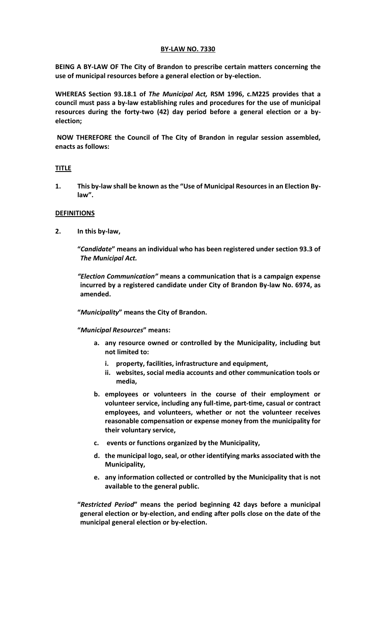# **BY-LAW NO. 7330**

**BEING A BY-LAW OF The City of Brandon to prescribe certain matters concerning the use of municipal resources before a general election or by-election.** 

**WHEREAS Section 93.18.1 of** *The Municipal Act,* **RSM 1996, c.M225 provides that a council must pass a by-law establishing rules and procedures for the use of municipal resources during the forty-two (42) day period before a general election or a byelection;** 

**NOW THEREFORE the Council of The City of Brandon in regular session assembled, enacts as follows:** 

# **TITLE**

**1. This by-law shall be known as the "Use of Municipal Resources in an Election Bylaw".**

# **DEFINITIONS**

**2. In this by-law,**

**"***Candidate***" means an individual who has been registered under section 93.3 of**  *The Municipal Act.*

*"Election Communication"* **means a communication that is a campaign expense incurred by a registered candidate under City of Brandon By-law No. 6974, as amended.** 

**"***Municipality***" means the City of Brandon.**

**"***Municipal Resources***" means:** 

- **a. any resource owned or controlled by the Municipality, including but not limited to:**
	- **i. property, facilities, infrastructure and equipment,**
	- **ii. websites, social media accounts and other communication tools or media,**
- **b. employees or volunteers in the course of their employment or volunteer service, including any full-time, part-time, casual or contract employees, and volunteers, whether or not the volunteer receives reasonable compensation or expense money from the municipality for their voluntary service,**
- **c. events or functions organized by the Municipality,**
- **d. the municipal logo, seal, or other identifying marks associated with the Municipality,**
- **e. any information collected or controlled by the Municipality that is not available to the general public.**

**"***Restricted Period***" means the period beginning 42 days before a municipal general election or by-election, and ending after polls close on the date of the municipal general election or by-election.**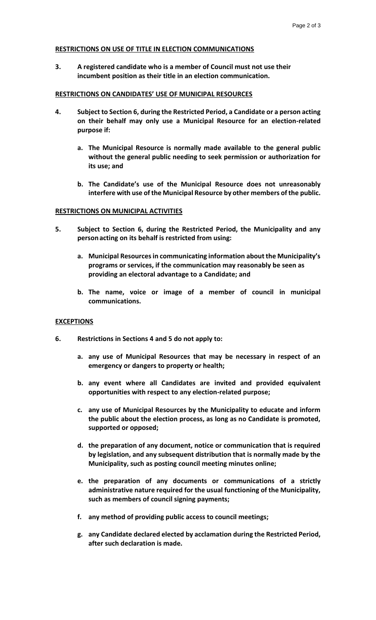### **RESTRICTIONS ON USE OF TITLE IN ELECTION COMMUNICATIONS**

**3. A registered candidate who is a member of Council must not use their incumbent position as their title in an election communication.** 

#### **RESTRICTIONS ON CANDIDATES' USE OF MUNICIPAL RESOURCES**

- **4. Subject to Section 6, during the Restricted Period, a Candidate or a person acting on their behalf may only use a Municipal Resource for an election-related purpose if:**
	- **a. The Municipal Resource is normally made available to the general public without the general public needing to seek permission or authorization for its use; and**
	- **b. The Candidate's use of the Municipal Resource does not unreasonably interfere with use of the Municipal Resource by other members of the public.**

### **RESTRICTIONS ON MUNICIPAL ACTIVITIES**

- **5. Subject to Section 6, during the Restricted Period, the Municipality and any personacting on its behalf is restricted from using:** 
	- **a. Municipal Resources in communicating information about the Municipality's programs or services, if the communication may reasonably be seen as providing an electoral advantage to a Candidate; and**
	- **b. The name, voice or image of a member of council in municipal communications.**

#### **EXCEPTIONS**

- **6. Restrictions in Sections 4 and 5 do not apply to:**
	- **a. any use of Municipal Resources that may be necessary in respect of an emergency or dangers to property or health;**
	- **b. any event where all Candidates are invited and provided equivalent opportunities with respect to any election-related purpose;**
	- **c. any use of Municipal Resources by the Municipality to educate and inform the public about the election process, as long as no Candidate is promoted, supported or opposed;**
	- **d. the preparation of any document, notice or communication that is required by legislation, and any subsequent distribution that is normally made by the Municipality, such as posting council meeting minutes online;**
	- **e. the preparation of any documents or communications of a strictly administrative nature required for the usual functioning of the Municipality, such as members of council signing payments;**
	- **f. any method of providing public access to council meetings;**
	- **g. any Candidate declared elected by acclamation during the Restricted Period, after such declaration is made.**